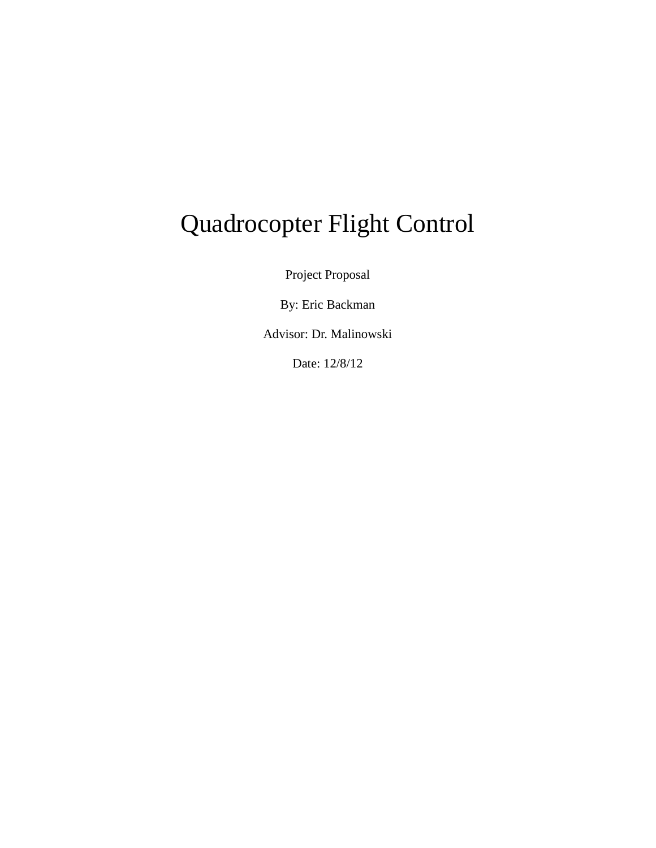# Quadrocopter Flight Control

Project Proposal

By: Eric Backman

Advisor: Dr. Malinowski

Date: 12/8/12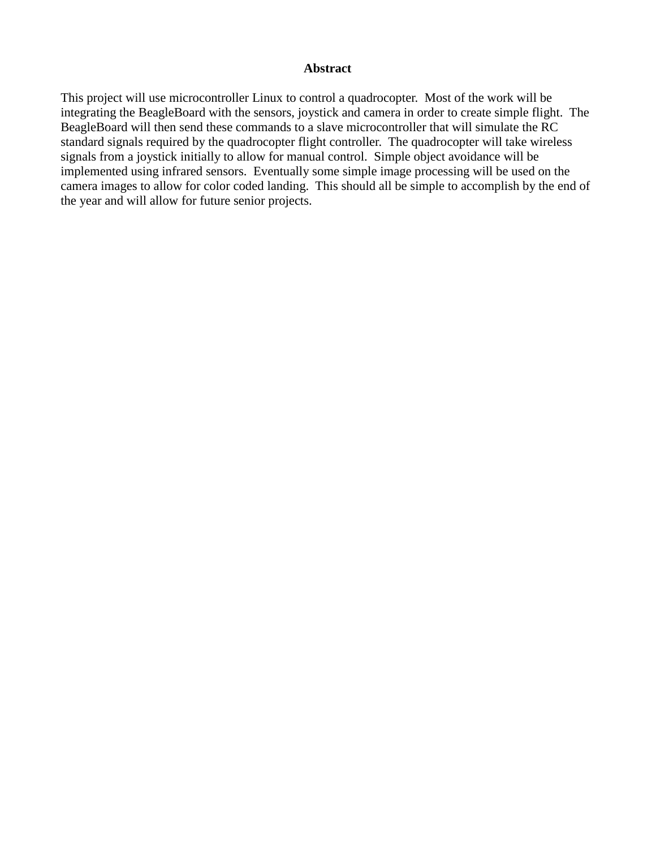#### **Abstract**

This project will use microcontroller Linux to control a quadrocopter. Most of the work will be integrating the BeagleBoard with the sensors, joystick and camera in order to create simple flight. The BeagleBoard will then send these commands to a slave microcontroller that will simulate the RC standard signals required by the quadrocopter flight controller. The quadrocopter will take wireless signals from a joystick initially to allow for manual control. Simple object avoidance will be implemented using infrared sensors. Eventually some simple image processing will be used on the camera images to allow for color coded landing. This should all be simple to accomplish by the end of the year and will allow for future senior projects.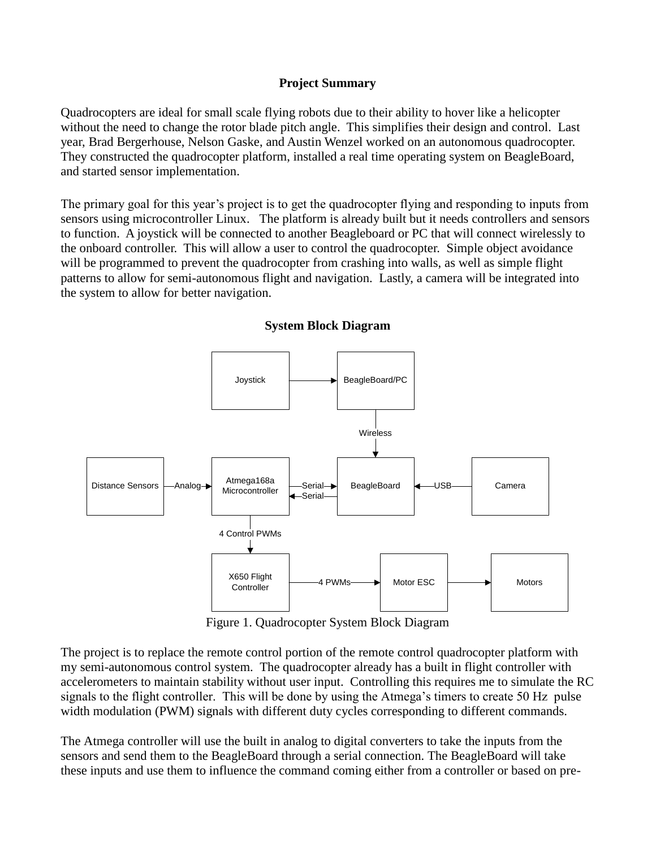#### **Project Summary**

Quadrocopters are ideal for small scale flying robots due to their ability to hover like a helicopter without the need to change the rotor blade pitch angle. This simplifies their design and control. Last year, Brad Bergerhouse, Nelson Gaske, and Austin Wenzel worked on an autonomous quadrocopter. They constructed the quadrocopter platform, installed a real time operating system on BeagleBoard, and started sensor implementation.

The primary goal for this year's project is to get the quadrocopter flying and responding to inputs from sensors using microcontroller Linux. The platform is already built but it needs controllers and sensors to function. A joystick will be connected to another Beagleboard or PC that will connect wirelessly to the onboard controller. This will allow a user to control the quadrocopter. Simple object avoidance will be programmed to prevent the quadrocopter from crashing into walls, as well as simple flight patterns to allow for semi-autonomous flight and navigation. Lastly, a camera will be integrated into the system to allow for better navigation.



#### **System Block Diagram**

Figure 1. Quadrocopter System Block Diagram

The project is to replace the remote control portion of the remote control quadrocopter platform with my semi-autonomous control system. The quadrocopter already has a built in flight controller with accelerometers to maintain stability without user input. Controlling this requires me to simulate the RC signals to the flight controller. This will be done by using the Atmega's timers to create 50 Hz pulse width modulation (PWM) signals with different duty cycles corresponding to different commands.

The Atmega controller will use the built in analog to digital converters to take the inputs from the sensors and send them to the BeagleBoard through a serial connection. The BeagleBoard will take these inputs and use them to influence the command coming either from a controller or based on pre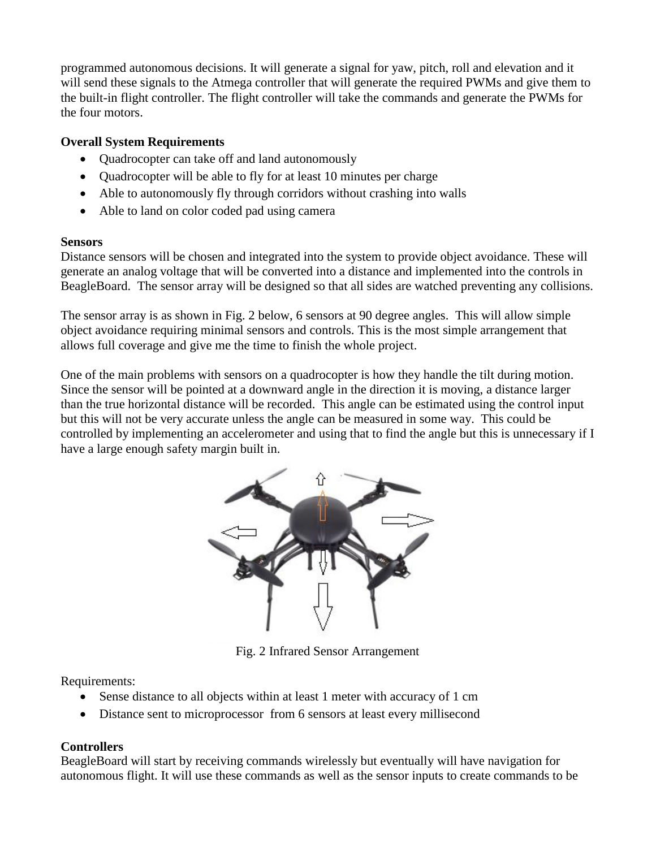programmed autonomous decisions. It will generate a signal for yaw, pitch, roll and elevation and it will send these signals to the Atmega controller that will generate the required PWMs and give them to the built-in flight controller. The flight controller will take the commands and generate the PWMs for the four motors.

## **Overall System Requirements**

- Quadrocopter can take off and land autonomously
- Quadrocopter will be able to fly for at least 10 minutes per charge
- Able to autonomously fly through corridors without crashing into walls
- Able to land on color coded pad using camera

#### **Sensors**

Distance sensors will be chosen and integrated into the system to provide object avoidance. These will generate an analog voltage that will be converted into a distance and implemented into the controls in BeagleBoard. The sensor array will be designed so that all sides are watched preventing any collisions.

The sensor array is as shown in Fig. 2 below, 6 sensors at 90 degree angles. This will allow simple object avoidance requiring minimal sensors and controls. This is the most simple arrangement that allows full coverage and give me the time to finish the whole project.

One of the main problems with sensors on a quadrocopter is how they handle the tilt during motion. Since the sensor will be pointed at a downward angle in the direction it is moving, a distance larger than the true horizontal distance will be recorded. This angle can be estimated using the control input but this will not be very accurate unless the angle can be measured in some way. This could be controlled by implementing an accelerometer and using that to find the angle but this is unnecessary if I have a large enough safety margin built in.



Fig. 2 Infrared Sensor Arrangement

Requirements:

- Sense distance to all objects within at least 1 meter with accuracy of 1 cm
- Distance sent to microprocessor from 6 sensors at least every millisecond

## **Controllers**

BeagleBoard will start by receiving commands wirelessly but eventually will have navigation for autonomous flight. It will use these commands as well as the sensor inputs to create commands to be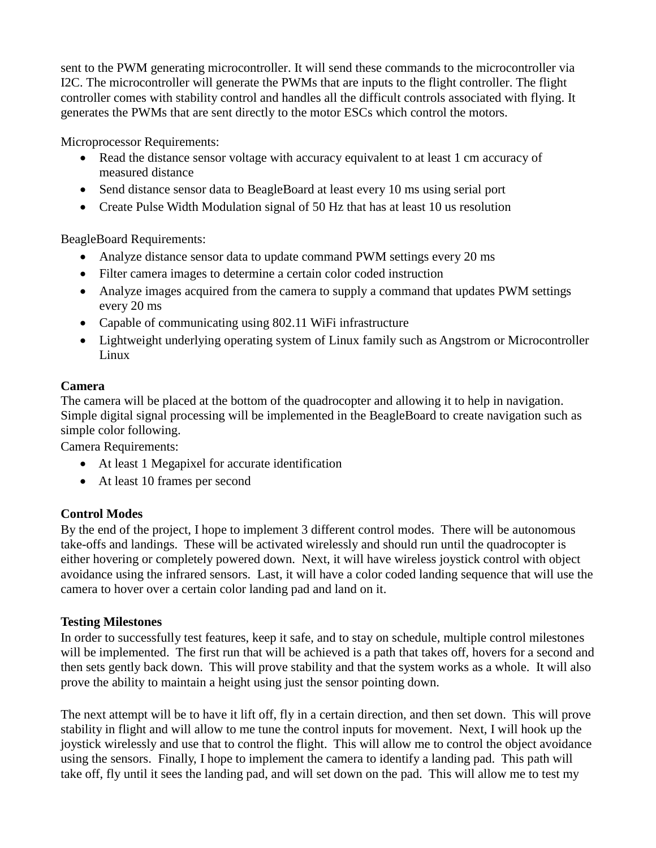sent to the PWM generating microcontroller. It will send these commands to the microcontroller via I2C. The microcontroller will generate the PWMs that are inputs to the flight controller. The flight controller comes with stability control and handles all the difficult controls associated with flying. It generates the PWMs that are sent directly to the motor ESCs which control the motors.

Microprocessor Requirements:

- Read the distance sensor voltage with accuracy equivalent to at least 1 cm accuracy of measured distance
- Send distance sensor data to BeagleBoard at least every 10 ms using serial port
- Create Pulse Width Modulation signal of 50 Hz that has at least 10 us resolution

BeagleBoard Requirements:

- Analyze distance sensor data to update command PWM settings every 20 ms
- Filter camera images to determine a certain color coded instruction
- Analyze images acquired from the camera to supply a command that updates PWM settings every 20 ms
- Capable of communicating using 802.11 WiFi infrastructure
- Lightweight underlying operating system of Linux family such as Angstrom or Microcontroller Linux

## **Camera**

The camera will be placed at the bottom of the quadrocopter and allowing it to help in navigation. Simple digital signal processing will be implemented in the BeagleBoard to create navigation such as simple color following.

Camera Requirements:

- At least 1 Megapixel for accurate identification
- At least 10 frames per second

## **Control Modes**

By the end of the project, I hope to implement 3 different control modes. There will be autonomous take-offs and landings. These will be activated wirelessly and should run until the quadrocopter is either hovering or completely powered down. Next, it will have wireless joystick control with object avoidance using the infrared sensors. Last, it will have a color coded landing sequence that will use the camera to hover over a certain color landing pad and land on it.

## **Testing Milestones**

In order to successfully test features, keep it safe, and to stay on schedule, multiple control milestones will be implemented. The first run that will be achieved is a path that takes off, hovers for a second and then sets gently back down. This will prove stability and that the system works as a whole. It will also prove the ability to maintain a height using just the sensor pointing down.

The next attempt will be to have it lift off, fly in a certain direction, and then set down. This will prove stability in flight and will allow to me tune the control inputs for movement. Next, I will hook up the joystick wirelessly and use that to control the flight. This will allow me to control the object avoidance using the sensors. Finally, I hope to implement the camera to identify a landing pad. This path will take off, fly until it sees the landing pad, and will set down on the pad. This will allow me to test my